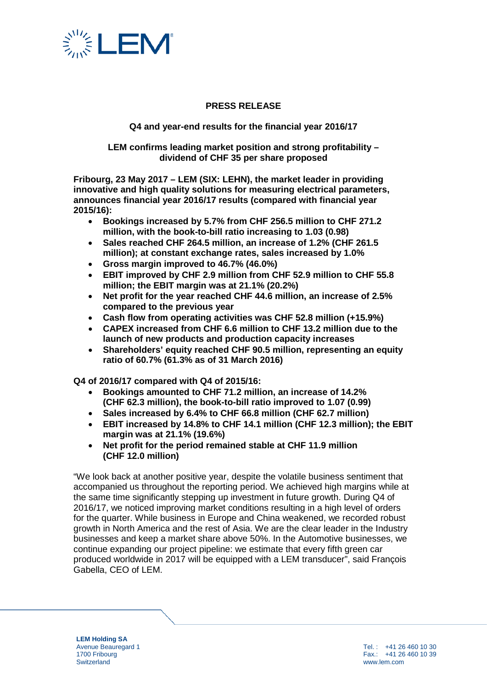

## **PRESS RELEASE**

### **Q4 and year-end results for the financial year 2016/17**

**LEM confirms leading market position and strong profitability – dividend of CHF 35 per share proposed**

**Fribourg, 23 May 2017 – LEM (SIX: LEHN), the market leader in providing innovative and high quality solutions for measuring electrical parameters, announces financial year 2016/17 results (compared with financial year 2015/16):** 

- **Bookings increased by 5.7% from CHF 256.5 million to CHF 271.2 million, with the book-to-bill ratio increasing to 1.03 (0.98)**
- **Sales reached CHF 264.5 million, an increase of 1.2% (CHF 261.5 million); at constant exchange rates, sales increased by 1.0%**
- **Gross margin improved to 46.7% (46.0%)**
- **EBIT improved by CHF 2.9 million from CHF 52.9 million to CHF 55.8 million; the EBIT margin was at 21.1% (20.2%)**
- **Net profit for the year reached CHF 44.6 million, an increase of 2.5% compared to the previous year**
- **Cash flow from operating activities was CHF 52.8 million (+15.9%)**
- **CAPEX increased from CHF 6.6 million to CHF 13.2 million due to the launch of new products and production capacity increases**
- **Shareholders' equity reached CHF 90.5 million, representing an equity ratio of 60.7% (61.3% as of 31 March 2016)**

**Q4 of 2016/17 compared with Q4 of 2015/16:** 

- **Bookings amounted to CHF 71.2 million, an increase of 14.2% (CHF 62.3 million), the book-to-bill ratio improved to 1.07 (0.99)**
- **Sales increased by 6.4% to CHF 66.8 million (CHF 62.7 million)**
- **EBIT increased by 14.8% to CHF 14.1 million (CHF 12.3 million); the EBIT margin was at 21.1% (19.6%)**
- **Net profit for the period remained stable at CHF 11.9 million (CHF 12.0 million)**

"We look back at another positive year, despite the volatile business sentiment that accompanied us throughout the reporting period. We achieved high margins while at the same time significantly stepping up investment in future growth. During Q4 of 2016/17, we noticed improving market conditions resulting in a high level of orders for the quarter. While business in Europe and China weakened, we recorded robust growth in North America and the rest of Asia. We are the clear leader in the Industry businesses and keep a market share above 50%. In the Automotive businesses, we continue expanding our project pipeline: we estimate that every fifth green car produced worldwide in 2017 will be equipped with a LEM transducer", said François Gabella, CEO of LEM.

**LEM Holding SA** Avenue Beauregard 1 1700 Fribourg **Switzerland** 

Tel. : +41 26 460 10 30 Fax.: +41 26 460 10 39 www.lem.com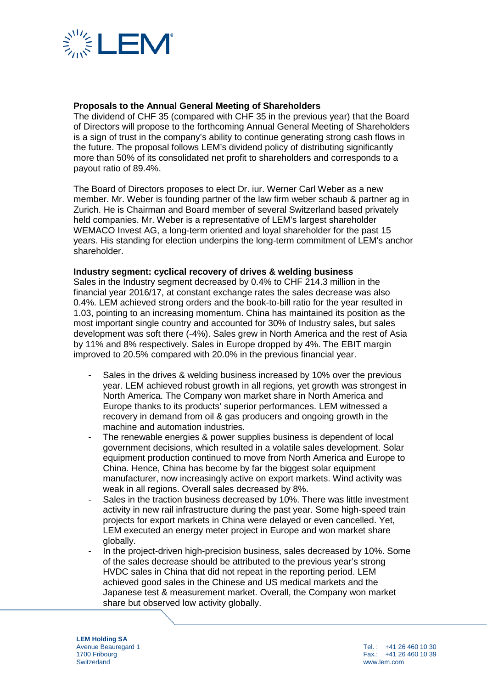

## **Proposals to the Annual General Meeting of Shareholders**

The dividend of CHF 35 (compared with CHF 35 in the previous year) that the Board of Directors will propose to the forthcoming Annual General Meeting of Shareholders is a sign of trust in the company's ability to continue generating strong cash flows in the future. The proposal follows LEM's dividend policy of distributing significantly more than 50% of its consolidated net profit to shareholders and corresponds to a payout ratio of 89.4%.

The Board of Directors proposes to elect Dr. iur. Werner Carl Weber as a new member. Mr. Weber is founding partner of the law firm weber schaub & partner ag in Zurich. He is Chairman and Board member of several Switzerland based privately held companies. Mr. Weber is a representative of LEM's largest shareholder WEMACO Invest AG, a long-term oriented and loyal shareholder for the past 15 years. His standing for election underpins the long-term commitment of LEM's anchor shareholder.

#### **Industry segment: cyclical recovery of drives & welding business**

Sales in the Industry segment decreased by 0.4% to CHF 214.3 million in the financial year 2016/17, at constant exchange rates the sales decrease was also 0.4%. LEM achieved strong orders and the book-to-bill ratio for the year resulted in 1.03, pointing to an increasing momentum. China has maintained its position as the most important single country and accounted for 30% of Industry sales, but sales development was soft there (-4%). Sales grew in North America and the rest of Asia by 11% and 8% respectively. Sales in Europe dropped by 4%. The EBIT margin improved to 20.5% compared with 20.0% in the previous financial year.

- Sales in the drives & welding business increased by 10% over the previous year. LEM achieved robust growth in all regions, yet growth was strongest in North America. The Company won market share in North America and Europe thanks to its products' superior performances. LEM witnessed a recovery in demand from oil & gas producers and ongoing growth in the machine and automation industries.
- The renewable energies & power supplies business is dependent of local government decisions, which resulted in a volatile sales development. Solar equipment production continued to move from North America and Europe to China. Hence, China has become by far the biggest solar equipment manufacturer, now increasingly active on export markets. Wind activity was weak in all regions. Overall sales decreased by 8%.
- Sales in the traction business decreased by 10%. There was little investment activity in new rail infrastructure during the past year. Some high-speed train projects for export markets in China were delayed or even cancelled. Yet, LEM executed an energy meter project in Europe and won market share globally.
- In the project-driven high-precision business, sales decreased by 10%. Some of the sales decrease should be attributed to the previous year's strong HVDC sales in China that did not repeat in the reporting period. LEM achieved good sales in the Chinese and US medical markets and the Japanese test & measurement market. Overall, the Company won market share but observed low activity globally.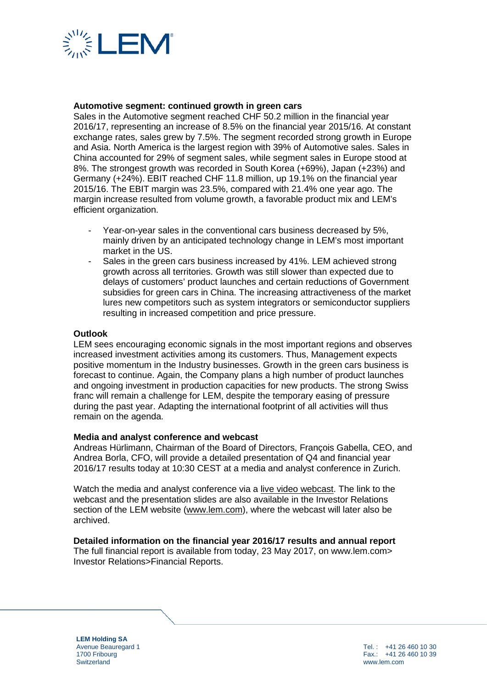

### **Automotive segment: continued growth in green cars**

Sales in the Automotive segment reached CHF 50.2 million in the financial year 2016/17, representing an increase of 8.5% on the financial year 2015/16. At constant exchange rates, sales grew by 7.5%. The segment recorded strong growth in Europe and Asia. North America is the largest region with 39% of Automotive sales. Sales in China accounted for 29% of segment sales, while segment sales in Europe stood at 8%. The strongest growth was recorded in South Korea (+69%), Japan (+23%) and Germany (+24%). EBIT reached CHF 11.8 million, up 19.1% on the financial year 2015/16. The EBIT margin was 23.5%, compared with 21.4% one year ago. The margin increase resulted from volume growth, a favorable product mix and LEM's efficient organization.

- Year-on-year sales in the conventional cars business decreased by 5%. mainly driven by an anticipated technology change in LEM's most important market in the US.
- Sales in the green cars business increased by 41%. LEM achieved strong growth across all territories. Growth was still slower than expected due to delays of customers' product launches and certain reductions of Government subsidies for green cars in China. The increasing attractiveness of the market lures new competitors such as system integrators or semiconductor suppliers resulting in increased competition and price pressure.

#### **Outlook**

LEM sees encouraging economic signals in the most important regions and observes increased investment activities among its customers. Thus, Management expects positive momentum in the Industry businesses. Growth in the green cars business is forecast to continue. Again, the Company plans a high number of product launches and ongoing investment in production capacities for new products. The strong Swiss franc will remain a challenge for LEM, despite the temporary easing of pressure during the past year. Adapting the international footprint of all activities will thus remain on the agenda.

#### **Media and analyst conference and webcast**

Andreas Hürlimann, Chairman of the Board of Directors, François Gabella, CEO, and Andrea Borla, CFO, will provide a detailed presentation of Q4 and financial year 2016/17 results today at 10:30 CEST at a media and analyst conference in Zurich.

Watch the media and analyst conference via a [live video webcast.](http://services.choruscall.eu/links/lem170523.html) The link to the webcast and the presentation slides are also available in the Investor Relations section of the LEM website [\(www.lem.com\)](http://www.lem.com/), where the webcast will later also be archived.

#### **Detailed information on the financial year 2016/17 results and annual report**

The full financial report is available from today, 23 May 2017, on www.lem.com> Investor Relations>Financial Reports.

**LEM Holding SA** Avenue Beauregard 1 1700 Fribourg **Switzerland**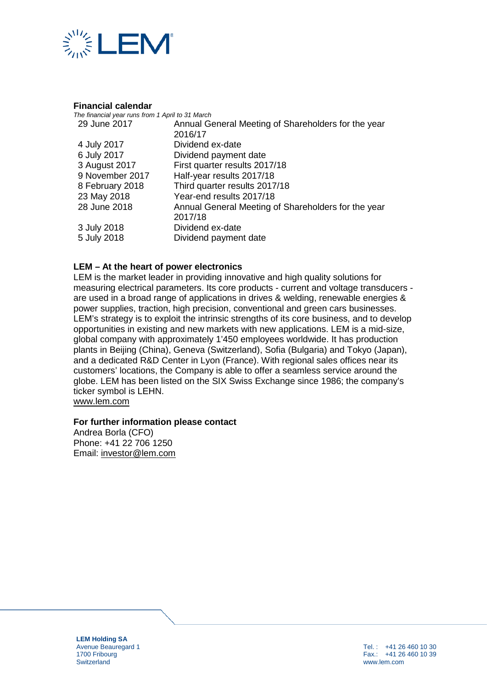

#### **Financial calendar**

| The financial year runs from 1 April to 31 March |                                                     |
|--------------------------------------------------|-----------------------------------------------------|
| 29 June 2017                                     | Annual General Meeting of Shareholders for the year |
|                                                  | 2016/17                                             |
| 4 July 2017                                      | Dividend ex-date                                    |
| 6 July 2017                                      | Dividend payment date                               |
| 3 August 2017                                    | First quarter results 2017/18                       |
| 9 November 2017                                  | Half-year results 2017/18                           |
| 8 February 2018                                  | Third quarter results 2017/18                       |
| 23 May 2018                                      | Year-end results 2017/18                            |
| 28 June 2018                                     | Annual General Meeting of Shareholders for the year |
|                                                  | 2017/18                                             |
| 3 July 2018                                      | Dividend ex-date                                    |
| 5 July 2018                                      | Dividend payment date                               |
|                                                  |                                                     |

## **LEM – At the heart of power electronics**

LEM is the market leader in providing innovative and high quality solutions for measuring electrical parameters. Its core products - current and voltage transducers are used in a broad range of applications in drives & welding, renewable energies & power supplies, traction, high precision, conventional and green cars businesses. LEM's strategy is to exploit the intrinsic strengths of its core business, and to develop opportunities in existing and new markets with new applications. LEM is a mid-size, global company with approximately 1'450 employees worldwide. It has production plants in Beijing (China), Geneva (Switzerland), Sofia (Bulgaria) and Tokyo (Japan), and a dedicated R&D Center in Lyon (France). With regional sales offices near its customers' locations, the Company is able to offer a seamless service around the globe. LEM has been listed on the SIX Swiss Exchange since 1986; the company's ticker symbol is LEHN.

[www.lem.com](http://www.lem.com/)

#### **For further information please contact**

Andrea Borla (CFO) Phone: +41 22 706 1250 Email: [investor@lem.com](mailto:investor@lem.com)

**LEM Holding SA** Avenue Beauregard 1 1700 Fribourg **Switzerland** 

Tel. : +41 26 460 10 30 Fax.: +41 26 460 10 39 www.lem.com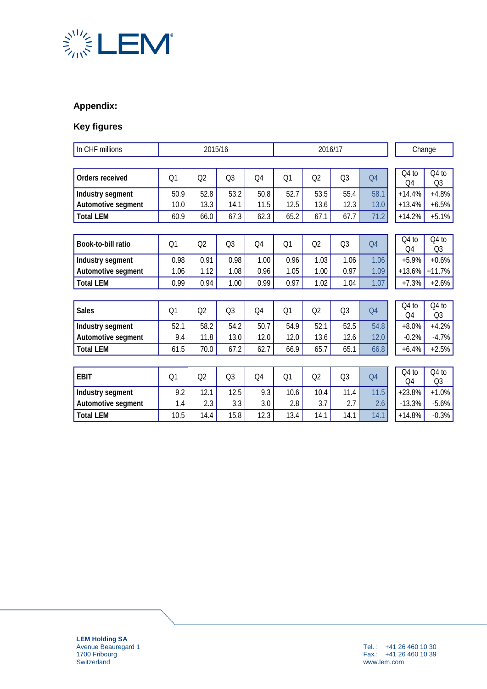

# **Appendix:**

# **Key figures**

| In CHF millions    | 2015/16        |                |                | 2016/17        |      |                |                | Change         |                         |                           |
|--------------------|----------------|----------------|----------------|----------------|------|----------------|----------------|----------------|-------------------------|---------------------------|
|                    |                |                |                |                |      |                |                |                |                         |                           |
| Orders received    | Q <sub>1</sub> | Q2             | Q <sub>3</sub> | Q4             | Q1   | Q2             | Q3             | Q <sub>4</sub> | Q4 to<br>O <sub>4</sub> | Q4 to<br>Q <sub>3</sub>   |
| Industry segment   | 50.9           | 52.8           | 53.2           | 50.8           | 52.7 | 53.5           | 55.4           | 58.1           | $+14.4%$                | $+4.8%$                   |
| Automotive segment | 10.0           | 13.3           | 14.1           | 11.5           | 12.5 | 13.6           | 12.3           | 13.0           | $+13.4%$                | $+6.5%$                   |
| <b>Total LEM</b>   | 60.9           | 66.0           | 67.3           | 62.3           | 65.2 | 67.1           | 67.7           | 71.2           | $+14.2%$                | $+5.1%$                   |
|                    |                |                |                |                |      |                |                |                |                         |                           |
| Book-to-bill ratio | Q <sub>1</sub> | Q <sub>2</sub> | Q <sub>3</sub> | Q4             | Q1   | Q <sub>2</sub> | Q <sub>3</sub> | Q <sub>4</sub> | Q4 to<br>Q4             | Q4 to<br>Q <sub>3</sub>   |
| Industry segment   | 0.98           | 0.91           | 0.98           | 1.00           | 0.96 | 1.03           | 1.06           | 1.06           | $+5.9%$                 | $+0.6%$                   |
| Automotive segment | 1.06           | 1.12           | 1.08           | 0.96           | 1.05 | 1.00           | 0.97           | 1.09           | $+13.6%$                | $+11.7%$                  |
| <b>Total LEM</b>   | 0.99           | 0.94           | 1.00           | 0.99           | 0.97 | 1.02           | 1.04           | 1.07           | $+7.3%$                 | $+2.6%$                   |
|                    |                |                |                |                |      |                |                |                |                         |                           |
| <b>Sales</b>       | Q <sub>1</sub> | Q <sub>2</sub> | Q <sub>3</sub> | Q4             | Q1   | Q <sub>2</sub> | Q <sub>3</sub> | Q <sub>4</sub> | Q4 to<br>O <sub>4</sub> | $Q4$ to<br>Q <sub>3</sub> |
| Industry segment   | 52.1           | 58.2           | 54.2           | 50.7           | 54.9 | 52.1           | 52.5           | 54.8           | $+8.0%$                 | $+4.2%$                   |
| Automotive segment | 9.4            | 11.8           | 13.0           | 12.0           | 12.0 | 13.6           | 12.6           | 12.0           | $-0.2%$                 | $-4.7%$                   |
| <b>Total LEM</b>   | 61.5           | 70.0           | 67.2           | 62.7           | 66.9 | 65.7           | 65.1           | 66.8           | $+6.4%$                 | $+2.5%$                   |
|                    |                |                |                |                |      |                |                |                |                         |                           |
| <b>EBIT</b>        | Q <sub>1</sub> | Q2             | Q <sub>3</sub> | Q <sub>4</sub> | Q1   | Q2             | Q <sub>3</sub> | O <sub>4</sub> | $Q4$ to<br>Q4           | $Q4$ to<br>Q <sub>3</sub> |
| Industry segment   | 9.2            | 12.1           | 12.5           | 9.3            | 10.6 | 10.4           | 11.4           | 11.5           | $+23.8%$                | $+1.0%$                   |
| Automotive segment | 1.4            | 2.3            | 3.3            | 3.0            | 2.8  | 3.7            | 2.7            | 2.6            | $-13.3%$                | $-5.6%$                   |
| <b>Total LEM</b>   | 10.5           | 14.4           | 15.8           | 12.3           | 13.4 | 14.1           | 14.1           | 14.1           | $+14.8%$                | $-0.3%$                   |